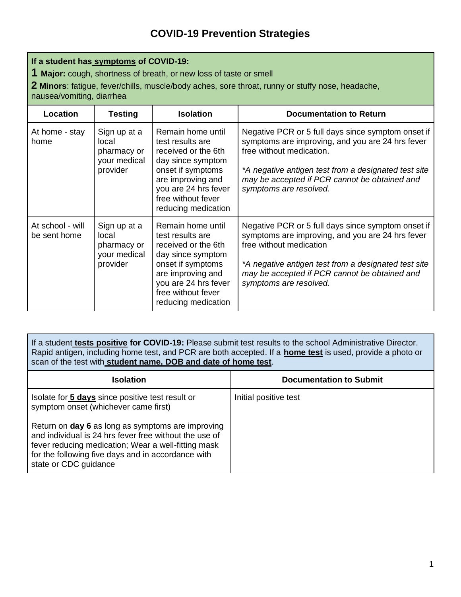## **If a student has symptoms of COVID-19:**

**1 Major:** cough, shortness of breath, or new loss of taste or smell

**2 Minors**: fatigue, fever/chills, muscle/body aches, sore throat, runny or stuffy nose, headache,

nausea/vomiting, diarrhea

| Location                         | <b>Testing</b>                                                   | <b>Isolation</b>                                                                                                                                                                                 | <b>Documentation to Return</b>                                                                                                                                                                                                                                        |
|----------------------------------|------------------------------------------------------------------|--------------------------------------------------------------------------------------------------------------------------------------------------------------------------------------------------|-----------------------------------------------------------------------------------------------------------------------------------------------------------------------------------------------------------------------------------------------------------------------|
| At home - stay<br>home           | Sign up at a<br>local<br>pharmacy or<br>your medical<br>provider | Remain home until<br>test results are<br>received or the 6th<br>day since symptom<br>onset if symptoms<br>are improving and<br>you are 24 hrs fever<br>free without fever<br>reducing medication | Negative PCR or 5 full days since symptom onset if<br>symptoms are improving, and you are 24 hrs fever<br>free without medication.<br>*A negative antigen test from a designated test site<br>may be accepted if PCR cannot be obtained and<br>symptoms are resolved. |
| At school - will<br>be sent home | Sign up at a<br>local<br>pharmacy or<br>your medical<br>provider | Remain home until<br>test results are<br>received or the 6th<br>day since symptom<br>onset if symptoms<br>are improving and<br>you are 24 hrs fever<br>free without fever<br>reducing medication | Negative PCR or 5 full days since symptom onset if<br>symptoms are improving, and you are 24 hrs fever<br>free without medication<br>*A negative antigen test from a designated test site<br>may be accepted if PCR cannot be obtained and<br>symptoms are resolved.  |

If a student **tests positive for COVID-19:** Please submit test results to the school Administrative Director. Rapid antigen, including home test, and PCR are both accepted. If a **home test** is used, provide a photo or scan of the test with **student name, DOB and date of home test**.

| <b>Isolation</b>                                                                                                                                                                                                                                  | <b>Documentation to Submit</b> |
|---------------------------------------------------------------------------------------------------------------------------------------------------------------------------------------------------------------------------------------------------|--------------------------------|
| Isolate for 5 days since positive test result or<br>symptom onset (whichever came first)                                                                                                                                                          | Initial positive test          |
| Return on day 6 as long as symptoms are improving<br>and individual is 24 hrs fever free without the use of<br>fever reducing medication; Wear a well-fitting mask<br>for the following five days and in accordance with<br>state or CDC guidance |                                |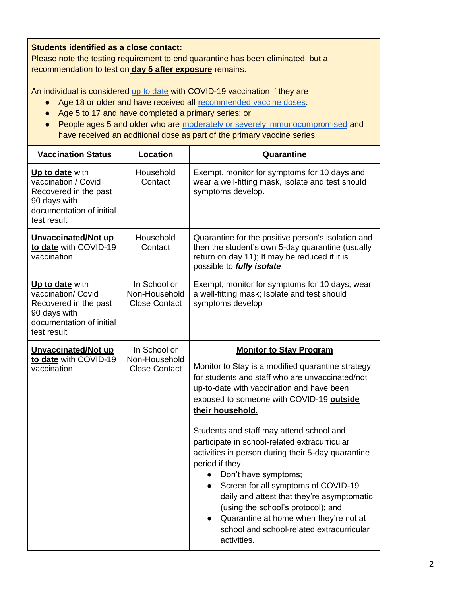**Students identified as a close contact:**

Please note the testing requirement to end quarantine has been eliminated, but a recommendation to test on **day 5 after exposure** remains.

An individual is considered [up to date](https://www.cdc.gov/coronavirus/2019-ncov/vaccines/stay-up-to-date.html?s_cid=11350:cdc%20vaccinated%20guidelines:sem.ga:p:RG:GM:gen:PTN:FY21) with COVID-19 vaccination if they are

- Age 18 or older and have received all [recommended vaccine doses:](https://www.cdc.gov/coronavirus/2019-ncov/vaccines/stay-up-to-date.html?s_cid=11350:cdc%20vaccinated%20guidelines:sem.ga:p:RG:GM:gen:PTN:FY21)
- Age 5 to 17 and have completed a primary series; or
- People ages 5 and older who are [moderately or severely immunocompromised](https://www.cdc.gov/coronavirus/2019-ncov/vaccines/recommendations/immuno.html) and have received an additional dose as part of the primary vaccine series.

| <b>Vaccination Status</b>                                                                                                  | Location                                              | Quarantine                                                                                                                                                                                                                                                                                                                                                                                                                                                                                                                                                                                                                                                                        |
|----------------------------------------------------------------------------------------------------------------------------|-------------------------------------------------------|-----------------------------------------------------------------------------------------------------------------------------------------------------------------------------------------------------------------------------------------------------------------------------------------------------------------------------------------------------------------------------------------------------------------------------------------------------------------------------------------------------------------------------------------------------------------------------------------------------------------------------------------------------------------------------------|
| Up to date with<br>vaccination / Covid<br>Recovered in the past<br>90 days with<br>documentation of initial<br>test result | Household<br>Contact                                  | Exempt, monitor for symptoms for 10 days and<br>wear a well-fitting mask, isolate and test should<br>symptoms develop.                                                                                                                                                                                                                                                                                                                                                                                                                                                                                                                                                            |
| Unvaccinated/Not up<br>to date with COVID-19<br>vaccination                                                                | Household<br>Contact                                  | Quarantine for the positive person's isolation and<br>then the student's own 5-day quarantine (usually<br>return on day 11); It may be reduced if it is<br>possible to fully isolate                                                                                                                                                                                                                                                                                                                                                                                                                                                                                              |
| Up to date with<br>vaccination/ Covid<br>Recovered in the past<br>90 days with<br>documentation of initial<br>test result  | In School or<br>Non-Household<br><b>Close Contact</b> | Exempt, monitor for symptoms for 10 days, wear<br>a well-fitting mask; Isolate and test should<br>symptoms develop                                                                                                                                                                                                                                                                                                                                                                                                                                                                                                                                                                |
| Unvaccinated/Not up<br>to date with COVID-19<br>vaccination                                                                | In School or<br>Non-Household<br><b>Close Contact</b> | <b>Monitor to Stay Program</b><br>Monitor to Stay is a modified quarantine strategy<br>for students and staff who are unvaccinated/not<br>up-to-date with vaccination and have been<br>exposed to someone with COVID-19 outside<br>their household.<br>Students and staff may attend school and<br>participate in school-related extracurricular<br>activities in person during their 5-day quarantine<br>period if they<br>Don't have symptoms;<br>Screen for all symptoms of COVID-19<br>daily and attest that they're asymptomatic<br>(using the school's protocol); and<br>Quarantine at home when they're not at<br>school and school-related extracurricular<br>activities. |